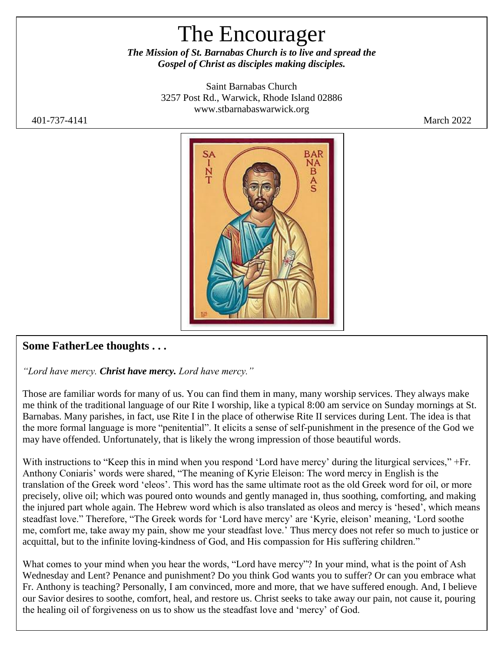# The Encourager

*The Mission of St. Barnabas Church is to live and spread the Gospel of Christ as disciples making disciples.*

> Saint Barnabas Church 3257 Post Rd., Warwick, Rhode Island 02886 [www.stbarnabaswarwick.org](http://www.stbarnabaswarwick.org/)

401-737-4141 March 2022



#### **Some FatherLee thoughts . . .**

*"Lord have mercy. Christ have mercy. Lord have mercy."*

Those are familiar words for many of us. You can find them in many, many worship services. They always make me think of the traditional language of our Rite I worship, like a typical 8:00 am service on Sunday mornings at St. Barnabas. Many parishes, in fact, use Rite I in the place of otherwise Rite II services during Lent. The idea is that the more formal language is more "penitential". It elicits a sense of self-punishment in the presence of the God we may have offended. Unfortunately, that is likely the wrong impression of those beautiful words.

With instructions to "Keep this in mind when you respond 'Lord have mercy' during the liturgical services," +Fr. Anthony Coniaris' words were shared, "The meaning of Kyrie Eleison: The word mercy in English is the translation of the Greek word 'eleos'. This word has the same ultimate root as the old Greek word for oil, or more precisely, olive oil; which was poured onto wounds and gently managed in, thus soothing, comforting, and making the injured part whole again. The Hebrew word which is also translated as oleos and mercy is 'hesed', which means steadfast love." Therefore, "The Greek words for 'Lord have mercy' are 'Kyrie, eleison' meaning, 'Lord soothe me, comfort me, take away my pain, show me your steadfast love.' Thus mercy does not refer so much to justice or acquittal, but to the infinite loving-kindness of God, and His compassion for His suffering children."

What comes to your mind when you hear the words, "Lord have mercy"? In your mind, what is the point of Ash Wednesday and Lent? Penance and punishment? Do you think God wants you to suffer? Or can you embrace what Fr. Anthony is teaching? Personally, I am convinced, more and more, that we have suffered enough. And, I believe our Savior desires to soothe, comfort, heal, and restore us. Christ seeks to take away our pain, not cause it, pouring the healing oil of forgiveness on us to show us the steadfast love and 'mercy' of God.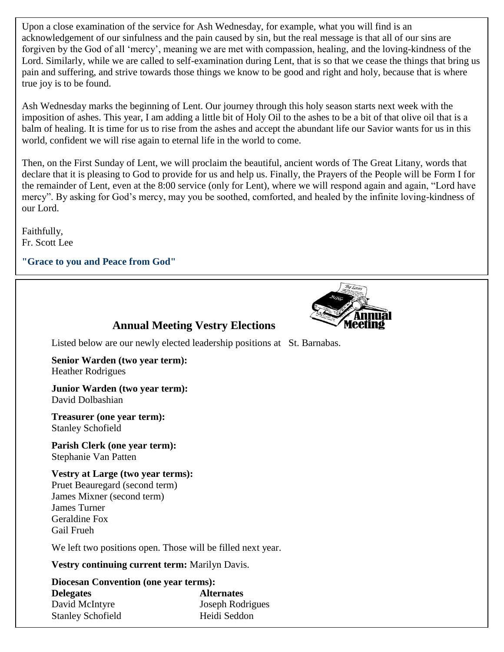Upon a close examination of the service for Ash Wednesday, for example, what you will find is an acknowledgement of our sinfulness and the pain caused by sin, but the real message is that all of our sins are forgiven by the God of all 'mercy', meaning we are met with compassion, healing, and the loving-kindness of the Lord. Similarly, while we are called to self-examination during Lent, that is so that we cease the things that bring us pain and suffering, and strive towards those things we know to be good and right and holy, because that is where true joy is to be found.

Ash Wednesday marks the beginning of Lent. Our journey through this holy season starts next week with the imposition of ashes. This year, I am adding a little bit of Holy Oil to the ashes to be a bit of that olive oil that is a balm of healing. It is time for us to rise from the ashes and accept the abundant life our Savior wants for us in this world, confident we will rise again to eternal life in the world to come.

Then, on the First Sunday of Lent, we will proclaim the beautiful, ancient words of The Great Litany, words that declare that it is pleasing to God to provide for us and help us. Finally, the Prayers of the People will be Form I for the remainder of Lent, even at the 8:00 service (only for Lent), where we will respond again and again, "Lord have mercy". By asking for God's mercy, may you be soothed, comforted, and healed by the infinite loving-kindness of our Lord.

Faithfully, Fr. Scott Lee

#### **"Grace to you and Peace from God"**



#### **Annual Meeting Vestry Elections**

Listed below are our newly elected leadership positions at St. Barnabas.

**Senior Warden (two year term):**  Heather Rodrigues

**Junior Warden (two year term):** David Dolbashian

**Treasurer (one year term):** Stanley Schofield

**Parish Clerk (one year term):** Stephanie Van Patten

**Vestry at Large (two year terms):** Pruet Beauregard (second term) James Mixner (second term) James Turner Geraldine Fox Gail Frueh

We left two positions open. Those will be filled next year.

**Vestry continuing current term:** Marilyn Davis.

**Diocesan Convention (one year terms): Delegates Alternates**  David McIntyre Joseph Rodrigues Stanley Schofield Heidi Seddon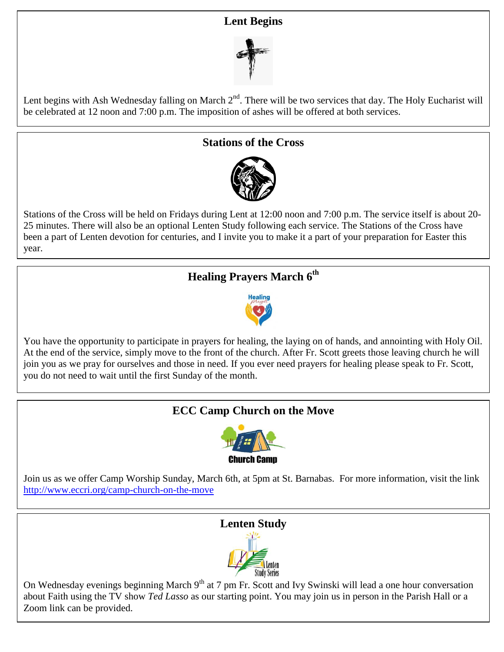#### **Lent Begins**



Lent begins with Ash Wednesday falling on March 2<sup>nd</sup>. There will be two services that day. The Holy Eucharist will be celebrated at 12 noon and 7:00 p.m. The imposition of ashes will be offered at both services.

#### **Stations of the Cross**



Stations of the Cross will be held on Fridays during Lent at 12:00 noon and 7:00 p.m. The service itself is about 20- 25 minutes. There will also be an optional Lenten Study following each service. The Stations of the Cross have been a part of Lenten devotion for centuries, and I invite you to make it a part of your preparation for Easter this year.

## **Healing Prayers March 6 th**



You have the opportunity to participate in prayers for healing, the laying on of hands, and annointing with Holy Oil. At the end of the service, simply move to the front of the church. After Fr. Scott greets those leaving church he will join you as we pray for ourselves and those in need. If you ever need prayers for healing please speak to Fr. Scott, you do not need to wait until the first Sunday of the month.

## **ECC Camp Church on the Move**



Join us as we offer Camp Worship Sunday, March 6th, at 5pm at St. Barnabas. For more information, visit the link [http://www.eccri.org/camp-church-on-the-move](http://www.eccri.org/camp-church-on-the-move?fbclid=IwAR0N5xO-2XlAQ5seU5nWbEvDt1rzgsr2Jy80VT_4M9m6g08w7UmdhzhORPI)

#### **Lenten Study**



On Wednesday evenings beginning March 9<sup>th</sup> at 7 pm Fr. Scott and Ivy Swinski will lead a one hour conversation about Faith using the TV show *Ted Lasso* as our starting point. You may join us in person in the Parish Hall or a Zoom link can be provided.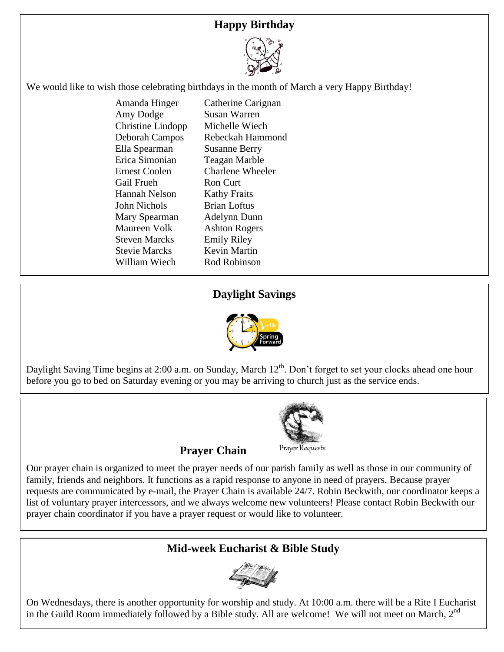## **Happy Birthday**



We would like to wish those celebrating birthdays in the month of March a very Happy Birthday!

Amanda Hinger Catherine Carignan Amy Dodge Susan Warren Christine Lindopp Michelle Wiech Deborah Campos Rebeckah Hammond Ella Spearman Susanne Berry Erica Simonian Teagan Marble Ernest Coolen Charlene Wheeler Gail Frueh Ron Curt Hannah Nelson Kathy Fraits John Nichols Brian Loftus Mary Spearman Adelynn Dunn Maureen Volk Ashton Rogers Steven Marcks Emily Riley Stevie Marcks Kevin Martin William Wiech Rod Robinson

#### **Daylight Savings**



Daylight Saving Time begins at 2:00 a.m. on Sunday, March 12<sup>th</sup>. Don't forget to set your clocks ahead one hour before you go to bed on Saturday evening or you may be arriving to church just as the service ends.



**Prayer Chain** 

Our prayer chain is organized to meet the prayer needs of our parish family as well as those in our community of family, friends and neighbors. It functions as a rapid response to anyone in need of prayers. Because prayer requests are communicated by e-mail, the Prayer Chain is available 24/7. Robin Beckwith, our coordinator keeps a list of voluntary prayer intercessors, and we always welcome new volunteers! Please contact Robin Beckwith our prayer chain coordinator if you have a prayer request or would like to volunteer.

#### **Mid-week Eucharist & Bible Study**



On Wednesdays, there is another opportunity for worship and study. At 10:00 a.m. there will be a Rite I Eucharist in the Guild Room immediately followed by a Bible study. All are welcome! We will not meet on March,  $2<sup>nd</sup>$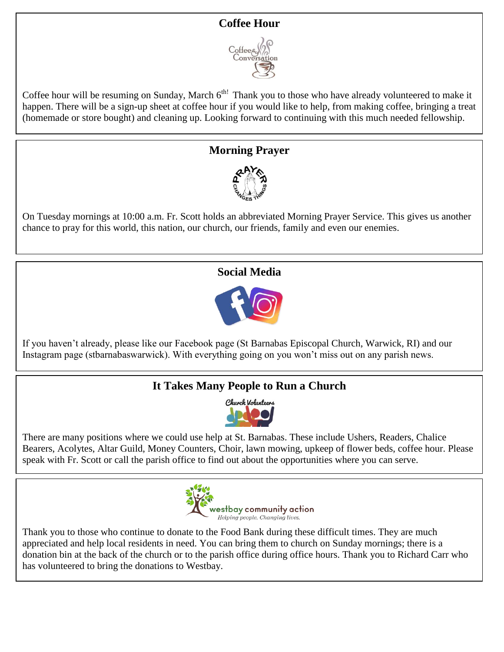## **Coffee Hour**



Coffee hour will be resuming on Sunday, March 6<sup>th!</sup> Thank you to those who have already volunteered to make it happen. There will be a sign-up sheet at coffee hour if you would like to help, from making coffee, bringing a treat (homemade or store bought) and cleaning up. Looking forward to continuing with this much needed fellowship.

### **Morning Prayer**



On Tuesday mornings at 10:00 a.m. Fr. Scott holds an abbreviated Morning Prayer Service. This gives us another chance to pray for this world, this nation, our church, our friends, family and even our enemies.

# **Social Media**



If you haven't already, please like our Facebook page (St Barnabas Episcopal Church, Warwick, RI) and our Instagram page (stbarnabaswarwick). With everything going on you won't miss out on any parish news.

# **It Takes Many People to Run a Church**



There are many positions where we could use help at St. Barnabas. These include Ushers, Readers, Chalice Bearers, Acolytes, Altar Guild, Money Counters, Choir, lawn mowing, upkeep of flower beds, coffee hour. Please speak with Fr. Scott or call the parish office to find out about the opportunities where you can serve.



Thank you to those who continue to donate to the Food Bank during these difficult times. They are much appreciated and help local residents in need. You can bring them to church on Sunday mornings; there is a donation bin at the back of the church or to the parish office during office hours. Thank you to Richard Carr who has volunteered to bring the donations to Westbay.